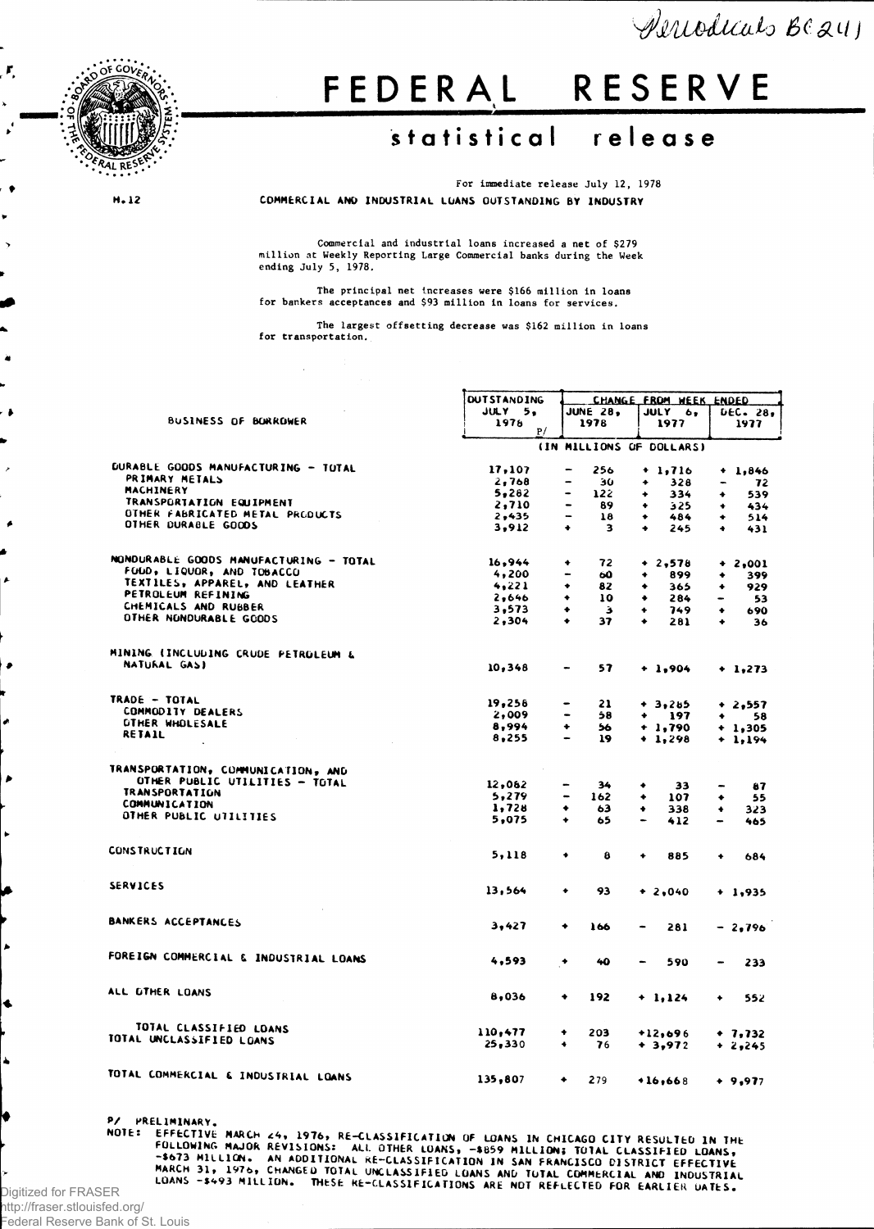*^MLldlCido &( Mj*



 $\mathbf{r}$ 

**H.12** 

## FEDERA L RESERV E

## **statistica l releas e**

**For immediate release July 12, 1978 COMMERCIAL AND INDUSTRIAL LUANS OUTSTANDING BY INDUSTRY**

**Commercial and industrial loans increased a net of \$279 million at Weekly Reporting Large Commercial banks during the Week ending July 5, 1978.**

**The principal net Increases were \$166 million in loans for bankers acceptances and \$93 million in loans for services.**

**The largest offsetting decrease was \$162 million in loans for transportation.**

|   |                                        | <b>OUTSTANDING</b> |                                     | CHANGE FROM WEEK ENDED   |                                |
|---|----------------------------------------|--------------------|-------------------------------------|--------------------------|--------------------------------|
| ۵ |                                        | $JULY = 5$         | JUNE 28,                            | JULY <sub>6</sub> ,      | DEC. 28,                       |
|   | BUSINESS OF BORROWER                   | 1978<br>P/         | 1978                                | 1977                     | 1977                           |
|   |                                        |                    |                                     | (IN MILLIONS OF DOLLARS) |                                |
|   | DURABLE GOODS MANUFACTURING - TOTAL    | 17,107             | 256<br>-                            | $+1,716$                 | $+ 1,846$                      |
|   | PRIMARY METALS                         | 2,768              | 30<br>-                             | ٠<br>328                 | $\overline{\phantom{a}}$<br>72 |
|   | MACHINERY                              | 5,282              | 122                                 | 334<br>٠                 | 539<br>٠                       |
|   | TRANSPORTATION EQUIPMENT               | 2,710              | -<br>89                             | 25 د                     | 434<br>٠                       |
|   | OTHER FABRICATED METAL PRODUCTS        | 2,435              | 18<br>$\blacksquare$                | 484                      | 514<br>۰                       |
|   | OTHER DURABLE GOODS                    | 3,912              | $\bullet$<br>3                      | 245<br>٠                 | 431<br>٠                       |
|   |                                        |                    |                                     |                          |                                |
|   | NONDURABLE GOODS MANUFACTURING - TOTAL | 16,944             | 72<br>٠                             | $+2,578$                 | $+2,001$                       |
|   | FODD, LIQUOR, AND TOBACCO              | 4,200              | 60                                  | 899<br>٠                 | 399<br>۰                       |
|   | TEXTILES, APPAREL, AND LEATHER         | 4,221              | 82<br>۰                             |                          | ٠                              |
|   | PETROLEUM REFINING                     |                    |                                     | 365                      | 929                            |
|   | CHEMICALS AND RUBBER                   | 2,646              | 10<br>۰                             | 284<br>٠                 | 53                             |
|   | OTHER NONDURABLE GOODS                 | 3,573              | ۰<br>э                              | 749<br>٠                 | 690<br>٠                       |
|   |                                        | 2,304              | 37<br>۰                             | 281<br>۰                 | ۰<br>36                        |
|   | MINING (INCLUDING CRUDE PETROLEUM &    |                    |                                     |                          |                                |
|   | NATURAL GASI                           | 10,348             | 57<br>$\overline{\phantom{a}}$      |                          |                                |
|   |                                        |                    |                                     | $+ 1,904$                | $+ 1,273$                      |
|   | TRADE - TOTAL                          | 19,258             | 21                                  | $+ 3,265$                | $+2,557$                       |
|   | COMMODITY DEALERS                      | 2,009              | 58                                  | ۰                        |                                |
|   | <b>DTHER WHOLESALE</b>                 |                    |                                     | - 197                    | ٠<br>58                        |
|   | RETAIL                                 | 8,994              | ۰<br>56<br>$\overline{\phantom{a}}$ | $+ 1,790$                | $+ 1,305$                      |
|   |                                        | 8,255              | 19                                  | $+ 1,298$                | + 1,194                        |
|   | TRANSPORTATION, COMMUNICATION, AND     |                    |                                     |                          |                                |
|   | OTHER PUBLIC UTILITIES - TOTAL         | 12,062             | 34                                  | 33<br>٠                  |                                |
|   | <b>TRANSPORTATION</b>                  | 5,279              | 162                                 |                          | 87                             |
|   | <b>COMMUNICATION</b>                   |                    |                                     | 107<br>٠                 | ۰<br>55                        |
|   | OTHER PUBLIC UTILITIES                 | 1,728              | ٠<br>63                             | ۰<br>338                 | ٠<br>323                       |
|   |                                        | 5,075              | ۰<br>65                             | 412                      | 465                            |
|   | <b>CONSTRUCTION</b>                    | 5,118              | 8<br>۰                              | ٠                        |                                |
|   |                                        |                    |                                     | 885                      | ۰<br>684                       |
|   | <b>SERVICES</b>                        | 13,564             | 93<br>۰                             | $+2,040$                 | $+ 1,935$                      |
|   |                                        |                    |                                     |                          |                                |
|   | BANKERS ACCEPTANCES                    | 3,427              | $\bullet$<br>166                    | 281                      | $-2,796$                       |
|   |                                        |                    |                                     |                          |                                |
|   | FOREIGN COMMERCIAL & INDUSTRIAL LOANS  | 4,593              | ٠<br>40                             | 590<br>$\rightarrow$     | 233                            |
|   |                                        |                    |                                     |                          |                                |
|   | ALL DTHER LOANS                        | 8,036              | 192<br>۰                            | $+ 1,124$                | ٠<br>552                       |
|   |                                        |                    |                                     |                          |                                |
|   | TOTAL CLASSIFIED LOANS                 | 110,477            | 203<br>٠                            | $+12,696$                | $+ 7,732$                      |
|   | TOTAL UNCLASSIFIED LOANS               | 25,330             | ٠<br>76                             | $+ 3,972$                | $+2,245$                       |
|   |                                        |                    |                                     |                          |                                |
|   | TOTAL COMMERCIAL & INDUSTRIAL LOANS    | 135,807            | 279<br>۰                            | 16,668                   | $+ 9,977$                      |
|   |                                        |                    |                                     |                          |                                |

**P/ PRELIMINARY.**

**P/** PRELIMINARY.<br>
NOTE: EFFECTIVE MARCH 24, 1976, RE-CLASSIFICATION OF LOANS IN CHICAGO CITY RESULTED IN THE<br>
FOLLOWING MAJOR REVISIONS: ALL OTHER LOANS, -\$859 MILLION; TOTAL CLASSIFIED LOANS,<br>
-\$673 MILLION. AN ADDITIONA

Digitized for FRASER http://fraser.stlouisfed.org/ Federal Reserve Bank of St. Louis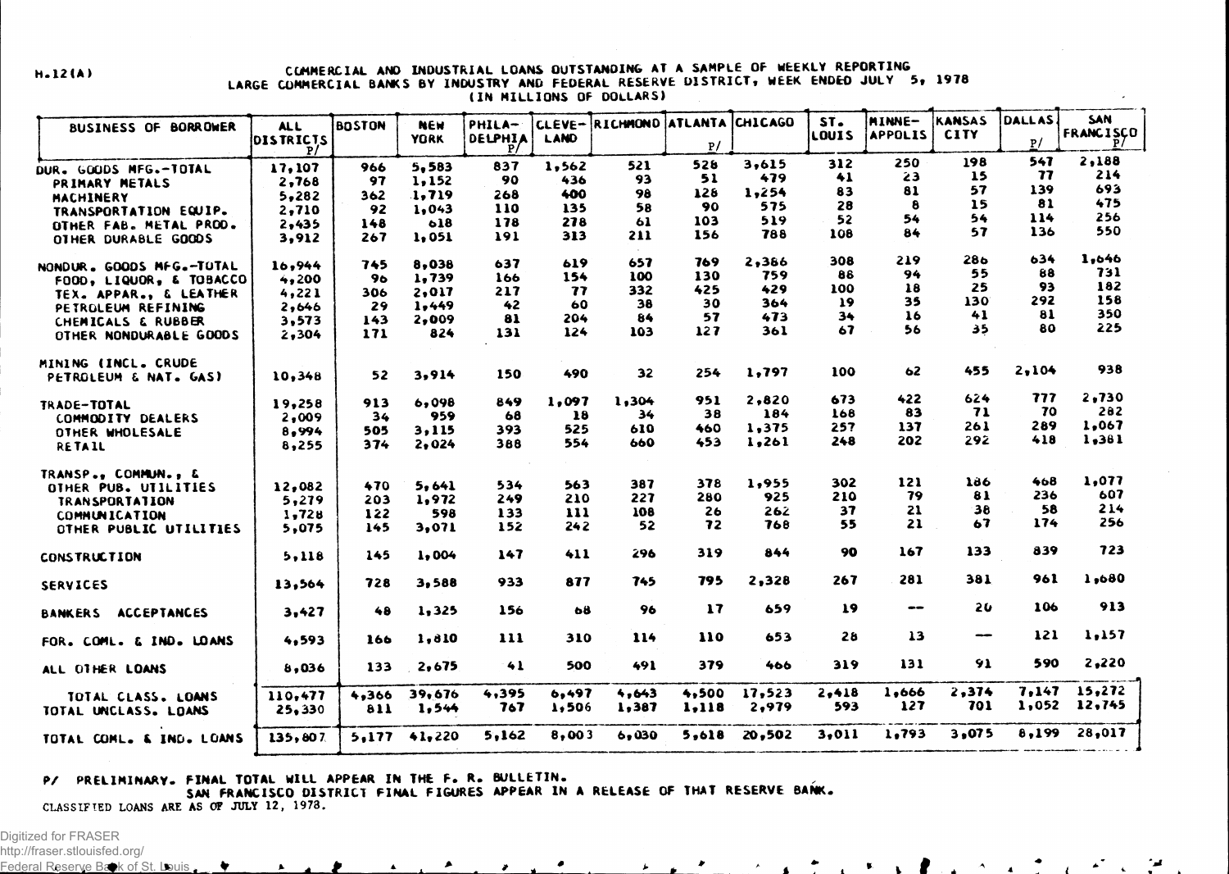## **H.12(A) COMMERCIAL AND INDUSTRIAL LOANS OUTSTANDING AT A SAMPLE OF WEEKLY REPORTING LARGE COMMERCIAL BANKS BY INDUSTRY AND FEDERAL RESERVE DISTRICT« WEEK ENDED JULY 5, 1978 (IN MILLIONS OF DOLLARS)**

| BUSINESS OF BORROWER                 | <b>ALL</b>             | <b>BOSTON</b> | <b>NEW</b>       | PHILA-         | CLEVE-      | RICHMOND ATLANTA CHICAGO |               |        | ST.          | MINNE-                 | <b>KANSAS</b> | DALLAS   | SAN        |
|--------------------------------------|------------------------|---------------|------------------|----------------|-------------|--------------------------|---------------|--------|--------------|------------------------|---------------|----------|------------|
|                                      | <b>DISTRICTS</b><br>P/ |               | <b>YORK</b>      | DELPHIA<br>PI. | <b>LAND</b> |                          | P/            |        | <b>LOUIS</b> | <b>APPOLIS</b>         | <b>CITY</b>   | P/       | FRANCISCO  |
| DUR. GOODS MFG.-TOTAL                | 17,107                 | 966           | 5.583            | 837            | 1,562       | 521                      | 528           | 3,615  | 312          | 250                    | 198           | 547      | 2,188      |
| PRIMARY METALS                       | 2,768                  | 97            | 1,152            | 90             | 436         | 93                       | 51            | 479    | 41           | 23                     | 15            | 77       | 214        |
| MACHINERY                            | 5.282                  | 362           | 1.719            | 268            | 400         | 98                       | 128           | 1,254  | 83           | 81                     | 57            | 139      | 693        |
| TRANSPORTATION EQUIP.                | 2,710                  | 92            | 1,043            | 110            | 135         | 58                       | 90            | 575    | 28           | 8                      | 15            | 81       | 475        |
| OTHER FAB. METAL PROD.               | 2,435                  | 148           | 618              | 178            | 278         | 61                       | 103           | 519    | 52           | 54                     | 54            | 114      | 256        |
| OTHER DURABLE GOODS                  | 3,912                  | 267           | 1,051            | 191            | 313         | 211                      | 156           | 788    | 108          | 84                     | 57            | 136      | 550        |
| NONDUR. GOODS MFG.-TUTAL             | 16,944                 | 745           | 8,038            | 637            | 619         | 657                      | 769           | 2,386  | 308          | 219                    | 286           | 634      | 1,646      |
| FOOD, LIQUOR, & TOBACCO              | 4,200                  | 96            | 1,739            | 166            | 154         | 100                      | 130           | 759    | 86           | 94                     | 55            | 88       | 731        |
| TEX. APPAR., & LEATHER               | 4,221                  | 306           | 2,017            | 217            | 77          | 332                      | 425           | 429    | 100          | 18                     | 25            | 93       | 182<br>158 |
| PETROLEUM REFINING                   | 2,646                  | 29            | 1,449            | 42             | 60          | 38                       | 30            | 364    | 19           | 35                     | 130           | 292      | 350        |
| CHEMICALS & RUBBER                   | 3,573                  | 143           | 2,009            | 81             | 204         | 84                       | 57            | 473    | 34           | 16                     | 41            | 81<br>80 | 225        |
| OTHER NONDURABLE GOODS               | 2,304                  | 171           | 824              | 131            | 124         | 103                      | 127           | 361    | 67           | 56                     | 35            |          |            |
| MINING (INCL. CRUDE                  |                        |               |                  |                |             |                          |               |        |              |                        |               |          | 938        |
| PETROLEUM & NAT. GAS)                | 10,348                 | 52            | 3,914            | 150            | 490         | 32                       | 254           | 1,797  | 100          | 62                     | 455           | 2,104    |            |
| <b>TRADE-TOTAL</b>                   | 19,258                 | 913           | 6,098            | 849            | 1,097       | 1,304                    | 951           | 2,820  | 673          | 422                    | 624           | 777      | 2,730      |
| <b>COMMODITY DEALERS</b>             | 2,009                  | 34            | 959              | 68             | 18          | 34                       | 38            | 184    | 168          | 83                     | 71            | 70       | 282        |
| OTHER WHOLESALE                      | 8,994                  | 505           | 3,115            | 393            | 525         | 610                      | 460           | 1,375  | 257          | 137                    | 261           | 289      | 1,067      |
| RETAIL                               | 8,255                  | 374           | 2,024            | 388            | 554         | 660                      | 453           | 1,261  | 248          | 202                    | 292           | 418      | 1,361      |
| TRANSP., COMMUN., &                  |                        |               |                  |                |             |                          |               |        |              |                        |               |          |            |
| OTHER PUB. UTILITIES                 | 12,082                 | 470           | 5,641            | 534            | 563         | 387                      | 378           | 1,955  | 302          | 121                    | 186           | 468      | 1,077      |
| <b>TRANSPORTATION</b>                | 5,279                  | 203           | 1,972            | 249            | 210         | 227                      | 280           | 925    | 210          | 79                     | 81            | 236      | 607        |
| <b>COMMUNICATION</b>                 | 1,728                  | 122           | 598              | 133            | 111         | 108                      | 26            | 262    | 37           | 21                     | 38            | 58       | 214        |
| OTHER PUBLIC UTILITIES               | 5,075                  | 145           | 3.071            | 152            | 24 2        | 52                       | 72            | 768    | 55           | 21                     | 67            | 174      | 256        |
| <b>CONSTRUCTION</b>                  | 5,118                  | 145           | 1,004            | 147            | 411         | 296                      | 319           | 844    | 90           | 167                    | 133           | 839      | 723        |
| <b>SERVICES</b>                      | 13,564                 | 728           | 3,588            | 933            | 877         | 745                      | 795           | 2,328  | 267          | 281                    | 381           | 961      | 1.680      |
| <b>ACCEPTANCES</b><br><b>BANKERS</b> | 3,427                  | 48            | 1,325            | 156            | 68          | 96                       | $\mathbf{17}$ | 659    | 19           | $\qquad \qquad \cdots$ | 20            | 106      | 913        |
| FOR. COML. & IND. LOANS              | 4,593                  | 166           | 1,810            | 111            | 310         | 114                      | 110           | 653    | 28           | 13                     | --            | 121      | 1.157      |
| ALL OTHER LOANS                      | 8.036                  | 133           | 2,675            | 41             | 500         | 491                      | 379           | 466    | 319          | 131                    | 91            | 590      | 2,220      |
|                                      |                        |               | 39,676           | 4,395          | 6,497       | 4,643                    | 4,500         | 17,523 | 2.418        | 1,666                  | 2,374         | 7,147    | 15,272     |
| TOTAL CLASS. LOANS                   | 110,477                | 4,366<br>811  | 1,544            | 767            | 1,506       | 1,387                    | 1.118         | 2,979  | 593          | 127                    | 701           | 1,052    | 12,745     |
| TOTAL UNCLASS. LOANS                 | 25,330                 |               |                  |                |             |                          |               |        |              |                        |               |          |            |
| TOTAL COML. & IND. LOANS             | 135,807                |               | $5.177$ $41.220$ | 5,162          | 8,003       | 6.030                    | 5,618         | 20,502 | 3,011        | 1,793                  | 3,075         | 8,199    | 28,017     |

**P/ PRELIMINARY. FINAL TOTAL WILL APPEAR IN THE F. R. BULLETIN.**

**SAN FRANCISCO DISTRICT FINAL FIGURES APPEAR IN A RELEASE OF THAT RESERVE BANK.**

**CLASSIFIED LOANS ARE AS OP JULY 12, 1973.**

Digitized for FRASER http://fraser.stlouisfed.org/  $\mathbf{A}$  $\mathbb{R}^n$  , and  $\mathbb{R}^n$  , and  $\mathbb{R}^n$  , and  $\mathbb{R}^n$  , and  $\mathbb{R}^n$  , and  $\mathbb{R}^n$  , and  $\mathbb{R}^n$ Federal Reserve Bank of St. Louis.  $\ddot{\phantom{1}}$  $\blacktriangle$  $\overline{1}$  $\blacktriangle$ ▴  $\mathcal{L}$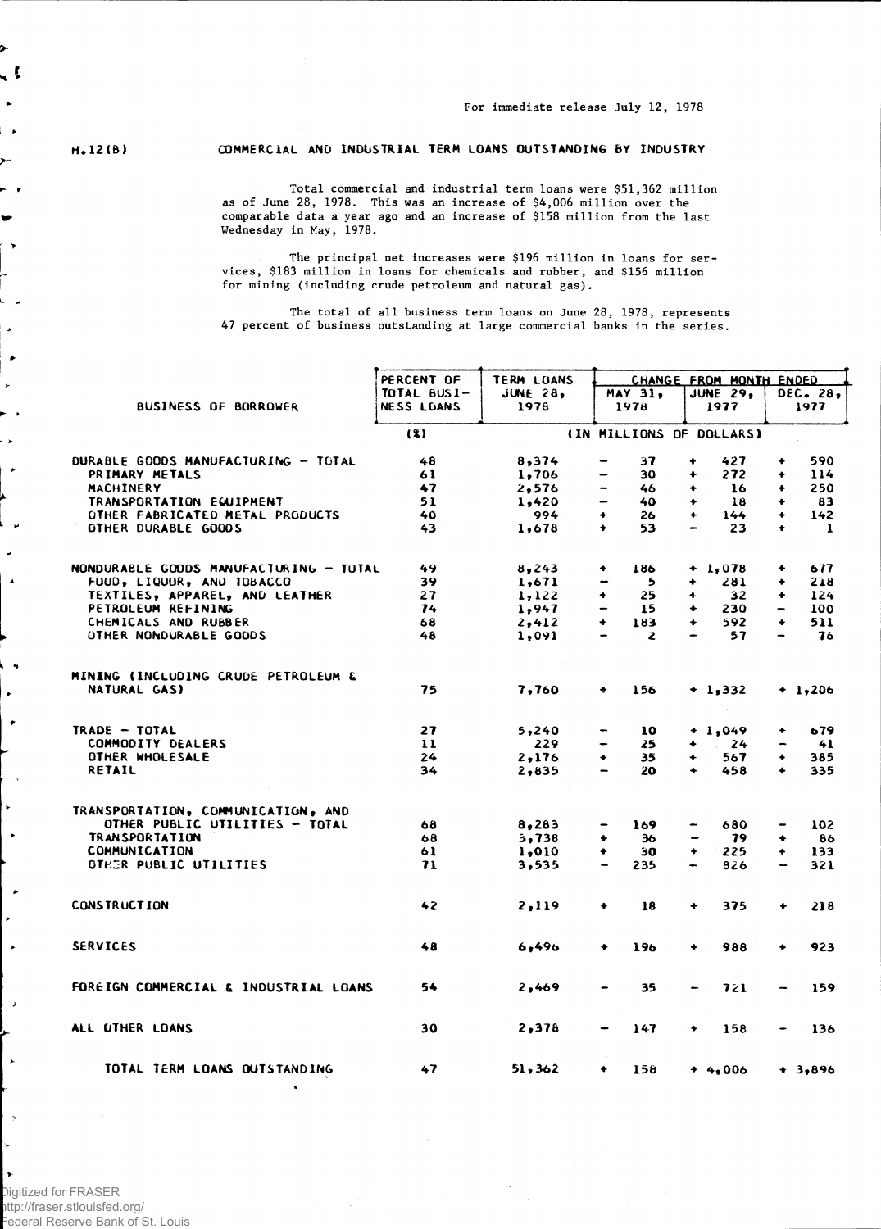b . ເ

L.

≻

 $\rightarrow$  $\bullet$ 

٠,  $\overline{1}$ 

 $\overline{\phantom{a}}$ 

 $\rightarrow$ 

 $\bullet$ 

 $\bullet$ 

 $\overline{\phantom{a}}$ 

 $\blacktriangleright$ 

 $\lambda$ 

 $\rightarrow$ ÷.  $\blacktriangleright$ 

## H.12(B) COMMERCIAL AND INDUSTRIAL TERM LOANS OUTSTANDING BY INDUSTRY

**Total commercial and industrial term loans were \$51,362 million as of June 28, 1978. This was an increase of \$4,006 million over the comparable data a year ago and an increase of \$158 million from the last Wednesday in May, 1978.**

**The principal net increases were \$196 million in loans for services, \$183 million in loans for chemicals and rubber, and \$156 million for mining (including crude petroleum and natural gas).**

**The total of all business term loans on June 28, 1978, represents 47 percent of business outstanding at 1Large commercial banks in the series.**

|                                        | <b>PERCENT OF</b> | <b>TERM LOANS</b> |                                     | CHANGE FROM MONTH ENDED |                                     |  |  |
|----------------------------------------|-------------------|-------------------|-------------------------------------|-------------------------|-------------------------------------|--|--|
|                                        | TOTAL BUSI-       | <b>JUNE 28,</b>   | <b>MAY 31.</b>                      | <b>JUNE 29,</b>         | DEC. 28.<br>1977                    |  |  |
| <b>BUSINESS OF BORROWER</b>            | <b>NESS LOANS</b> | 1978              | 1978                                | 1977                    |                                     |  |  |
|                                        | (x)               |                   | (IN MILLIONS OF DOLLARS)            |                         |                                     |  |  |
| DURABLE GOODS MANUFACTURING - TOTAL    | 48                | 8,374             | -<br>37                             | 427<br>۰                | 590<br>۰                            |  |  |
| PRIMARY METALS                         | 61                | 1,706             | 30<br>-                             | 272<br>۰                | 114<br>۰                            |  |  |
| MACHINERY                              | 47                | 2,576             | <u></u><br>46                       | 16<br>۰                 | ٠<br>250                            |  |  |
| TRANSPORTATION EQUIPMENT               | 51                | 1,420             | -<br>40                             | 18<br>۰                 | 83<br>٠                             |  |  |
| OTHER FABRICATED METAL PRODUCTS        | 40                | 994               | $\bullet$<br>26                     | ٠<br>144                | ٠<br>142                            |  |  |
| OTHER DURABLE GOODS                    | 43                | 1,678             | $\ddot{\phantom{1}}$<br>53          | 23                      | ٠<br>1                              |  |  |
| NONDURABLE GOODS MANUFACTURING - TOTAL | 49                | 8,243             | 186<br>٠                            | 1,078<br>۰              | 677<br>٠                            |  |  |
| FOOD, LIQUOR, AND TOBACCO              | 39                | 1,671             | 5<br>$\overline{\phantom{a}}$       | ۰<br>281                | 218<br>۰                            |  |  |
| TEXTILES, APPAREL, AND LEATHER         | 27                | 1,122             | 25<br>$\bullet$                     | ÷<br>32                 | 124<br>٠                            |  |  |
| PETROLEUM REFINING                     | 74                | 1,947             | 15<br>-                             | 230<br>۰                | 100<br>$\overline{\phantom{a}}$     |  |  |
| CHEMICALS AND RUBBER                   | 68                | 2,412             | $\ddot{\phantom{1}}$<br>183         | 592<br>$\ddotmark$      | $\ddotmark$<br>511                  |  |  |
| OTHER NONDURABLE GOODS                 | 48                | 1,091             | <u>.</u><br>2                       | 57                      | 76<br>$\overline{\phantom{0}}$      |  |  |
| MINING (INCLUDING CRUDE PETROLEUM &    |                   |                   |                                     |                         |                                     |  |  |
| NATURAL GAS)                           | 75                | 7,760             | 156<br>٠                            | $+ 1,332$               | $+ 1,206$                           |  |  |
| TRADE - TOTAL                          | 27                | 5,240             | -<br>10                             | $+ 1,049$               | 679<br>۰                            |  |  |
| <b>COMMODITY DEALERS</b>               | 11                | 229               | 25<br>-                             | ۰<br>24                 | 41<br>$\blacksquare$                |  |  |
| OTHER WHOLESALE                        | 24                | 2,176             | 35<br>٠                             | 567<br>$\ddotmark$      | 385<br>٠                            |  |  |
| <b>RETAIL</b>                          | 34                | 2,835             | 20<br>$\equiv$                      | 458<br>۰                | $\bullet$<br>335                    |  |  |
| TRANSPORTATION, COMMUNICATION, AND     |                   |                   |                                     |                         |                                     |  |  |
| OTHER PUBLIC UTILITIES - TOTAL         | 68                | 8,283             | 169<br>$\qquad \qquad \blacksquare$ | 680<br>-                | 102<br>$\qquad \qquad \blacksquare$ |  |  |
| <b>TRANSPORTATION</b>                  | 68                | 3,738             | 36<br>۰                             | 79<br>-                 | 86<br>۰                             |  |  |
| COMMUNICATION                          | 61                | 1,010             | ٠<br>30                             | 225<br>۰                | $\bullet$<br>133                    |  |  |
| OTHER PUBLIC UTILITIES                 | 71                | 3,535             | 235<br>$\blacksquare$               | 826<br>-                | 321                                 |  |  |
| <b>CONSTRUCTION</b>                    | 42                | 2,119             | ٠<br>18                             | 375<br>۰                | 218<br>۰                            |  |  |
| <b>SERVICES</b>                        | 48                | 6,496             | 196<br>۰                            | 988<br>٠                | 923<br>۰                            |  |  |
| FOREIGN COMMERCIAL & INDUSTRIAL LOANS  | 54                | 2.469             | 35                                  | 721                     | 159<br>$\overline{\phantom{0}}$     |  |  |
| ALL UTHER LOANS                        | 30                | 2,378             | 147                                 | 158<br>۰                | 136                                 |  |  |
| TOTAL TERM LOANS OUTSTANDING           | 47                | 51,362            | 158<br>٠                            | $+4,006$                | $+3,896$                            |  |  |